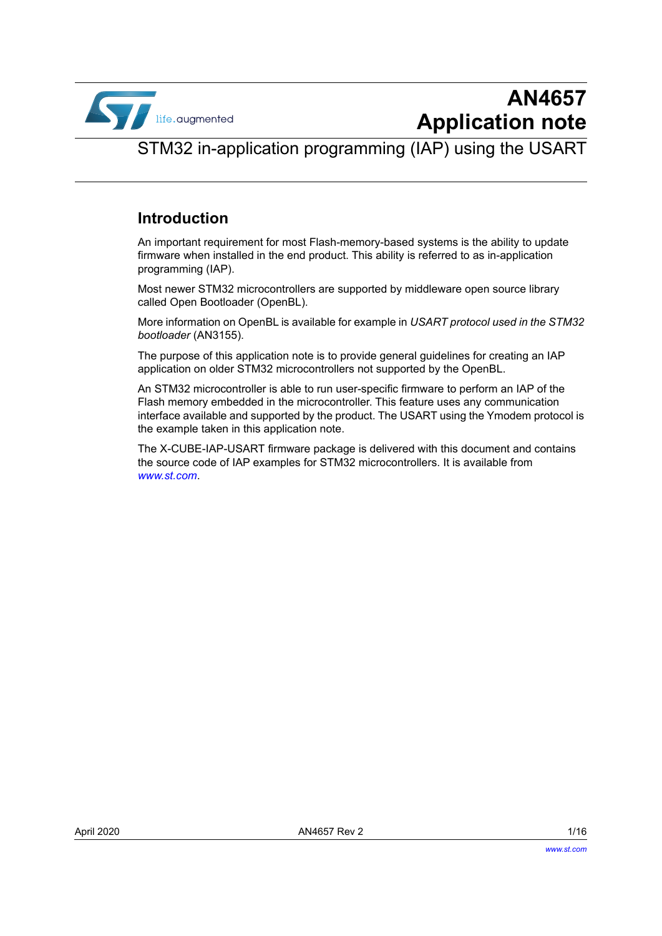

STM32 in-application programming (IAP) using the USART

### <span id="page-0-0"></span>**Introduction**

An important requirement for most Flash-memory-based systems is the ability to update firmware when installed in the end product. This ability is referred to as in-application programming (IAP).

Most newer STM32 microcontrollers are supported by middleware open source library called Open Bootloader (OpenBL).

More information on OpenBL is available for example in *USART protocol used in the STM32 bootloader* (AN3155).

The purpose of this application note is to provide general guidelines for creating an IAP application on older STM32 microcontrollers not supported by the OpenBL.

An STM32 microcontroller is able to run user-specific firmware to perform an IAP of the Flash memory embedded in the microcontroller. This feature uses any communication interface available and supported by the product. The USART using the Ymodem protocol is the example taken in this application note.

The X-CUBE-IAP-USART firmware package is delivered with this document and contains the source code of IAP examples for STM32 microcontrollers. It is available from *www.st.com*.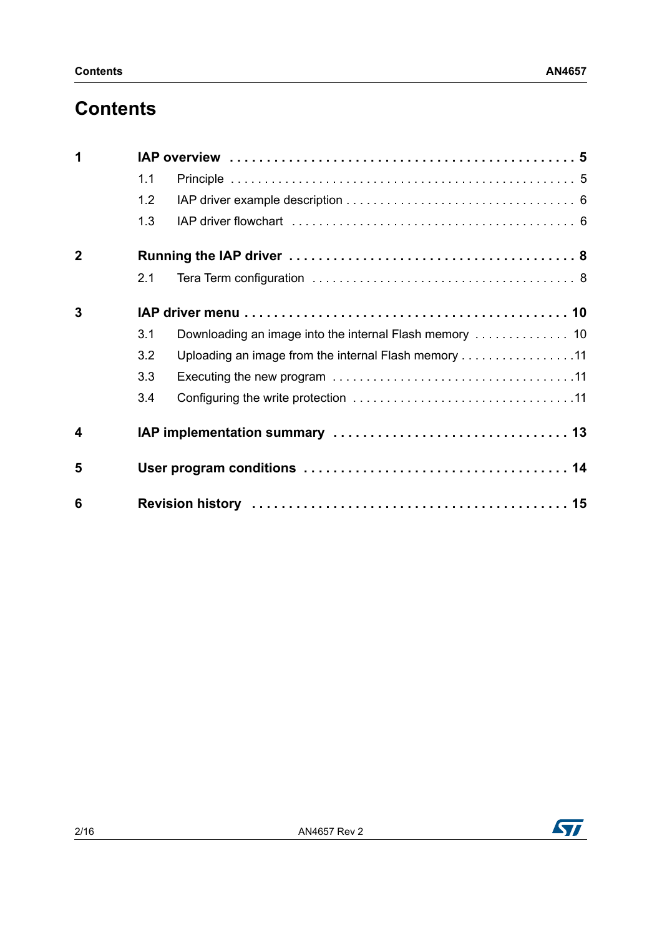## **Contents**

| 1                       |     |                                                      |  |  |
|-------------------------|-----|------------------------------------------------------|--|--|
|                         | 1.1 |                                                      |  |  |
|                         | 1.2 |                                                      |  |  |
|                         | 1.3 |                                                      |  |  |
| $\overline{2}$          |     |                                                      |  |  |
|                         | 2.1 |                                                      |  |  |
| 3                       |     |                                                      |  |  |
|                         | 3.1 |                                                      |  |  |
|                         | 3.2 | Uploading an image from the internal Flash memory 11 |  |  |
|                         | 3.3 |                                                      |  |  |
|                         | 3.4 |                                                      |  |  |
| $\overline{\mathbf{4}}$ |     |                                                      |  |  |
| 5                       |     |                                                      |  |  |
| 6                       |     |                                                      |  |  |

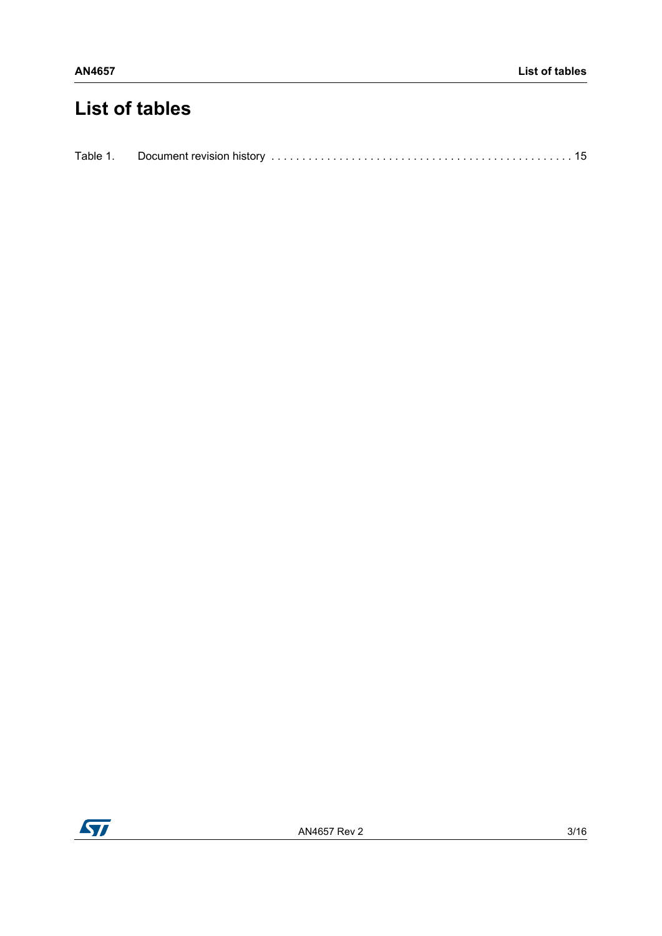# **List of tables**

| Table 1. |  |  |
|----------|--|--|

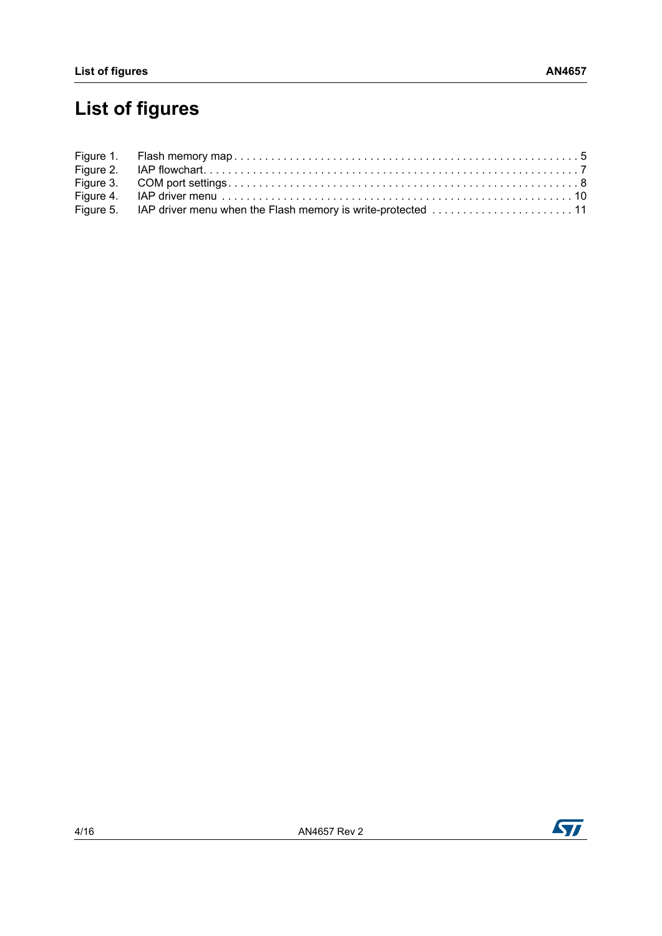# **List of figures**

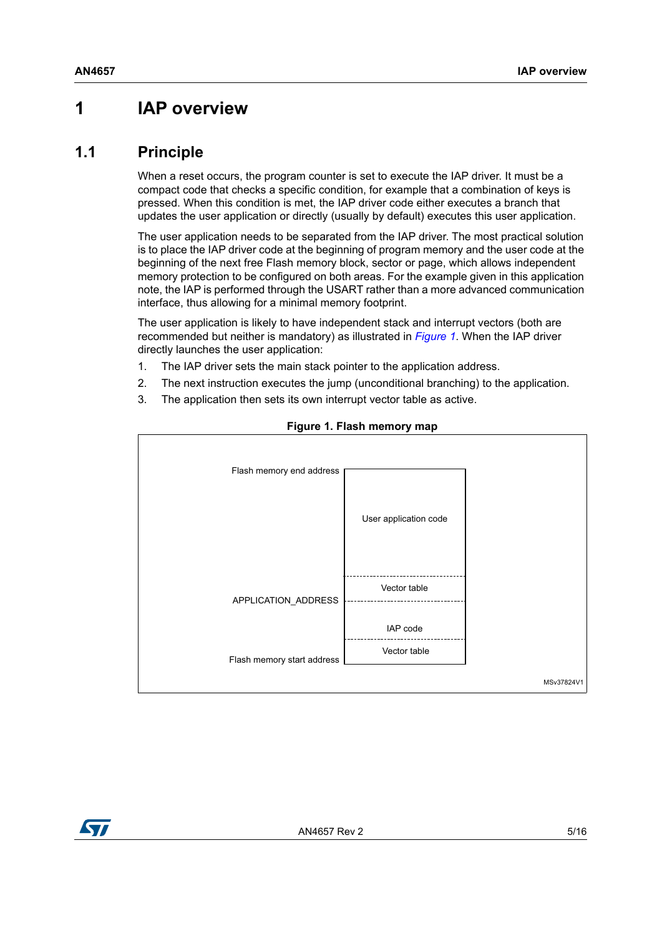## <span id="page-4-0"></span>**1 IAP overview**

#### <span id="page-4-1"></span>**1.1 Principle**

When a reset occurs, the program counter is set to execute the IAP driver. It must be a compact code that checks a specific condition, for example that a combination of keys is pressed. When this condition is met, the IAP driver code either executes a branch that updates the user application or directly (usually by default) executes this user application.

The user application needs to be separated from the IAP driver. The most practical solution is to place the IAP driver code at the beginning of program memory and the user code at the beginning of the next free Flash memory block, sector or page, which allows independent memory protection to be configured on both areas. For the example given in this application note, the IAP is performed through the USART rather than a more advanced communication interface, thus allowing for a minimal memory footprint.

The user application is likely to have independent stack and interrupt vectors (both are recommended but neither is mandatory) as illustrated in *[Figure](#page-4-2) 1*. When the IAP driver directly launches the user application:

- 1. The IAP driver sets the main stack pointer to the application address.
- 2. The next instruction executes the jump (unconditional branching) to the application.
- 3. The application then sets its own interrupt vector table as active.

<span id="page-4-2"></span>

#### **Figure 1. Flash memory map**

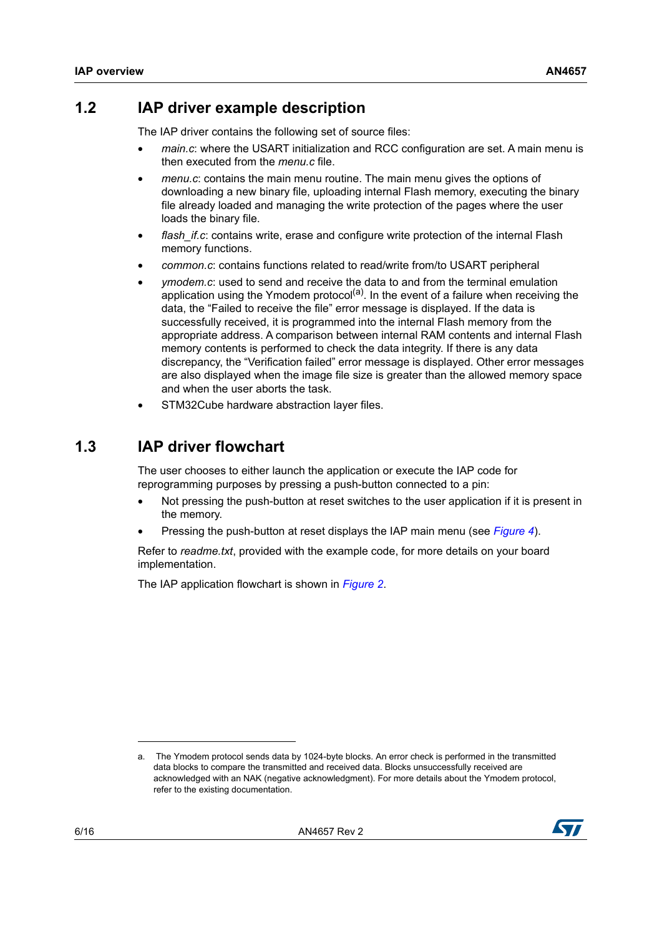### <span id="page-5-0"></span>**1.2 IAP driver example description**

The IAP driver contains the following set of source files:

- *main.c*: where the USART initialization and RCC configuration are set. A main menu is then executed from the *menu.c* file.
- *menu.c*: contains the main menu routine. The main menu gives the options of downloading a new binary file, uploading internal Flash memory, executing the binary file already loaded and managing the write protection of the pages where the user loads the binary file.
- *flash\_if.c*: contains write, erase and configure write protection of the internal Flash memory functions.
- *common.c*: contains functions related to read/write from/to USART peripheral
- *ymodem.c*: used to send and receive the data to and from the terminal emulation application using the Ymodem protocol<sup>(a)</sup>. In the event of a failure when receiving the data, the "Failed to receive the file" error message is displayed. If the data is successfully received, it is programmed into the internal Flash memory from the appropriate address. A comparison between internal RAM contents and internal Flash memory contents is performed to check the data integrity. If there is any data discrepancy, the "Verification failed" error message is displayed. Other error messages are also displayed when the image file size is greater than the allowed memory space and when the user aborts the task.
- STM32Cube hardware abstraction layer files.

### <span id="page-5-1"></span>**1.3 IAP driver flowchart**

The user chooses to either launch the application or execute the IAP code for reprogramming purposes by pressing a push-button connected to a pin:

- Not pressing the push-button at reset switches to the user application if it is present in the memory.
- Pressing the push-button at reset displays the IAP main menu (see *[Figure 4](#page-9-2)*).

Refer to *readme.txt*, provided with the example code, for more details on your board implementation.

The IAP application flowchart is shown in *[Figure](#page-6-0) 2*.

a. The Ymodem protocol sends data by 1024-byte blocks. An error check is performed in the transmitted data blocks to compare the transmitted and received data. Blocks unsuccessfully received are acknowledged with an NAK (negative acknowledgment). For more details about the Ymodem protocol, refer to the existing documentation.

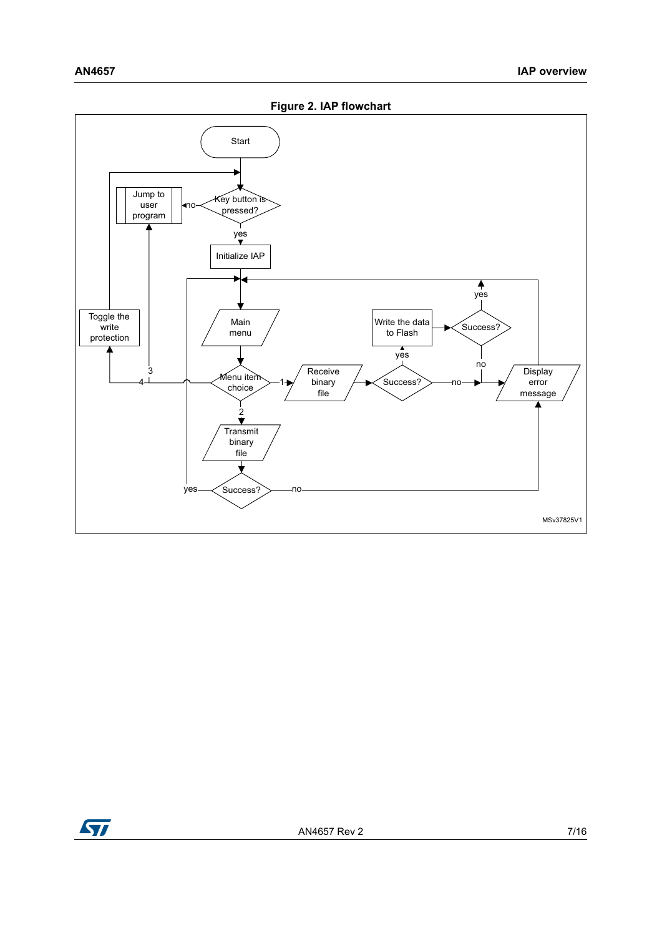<span id="page-6-0"></span>

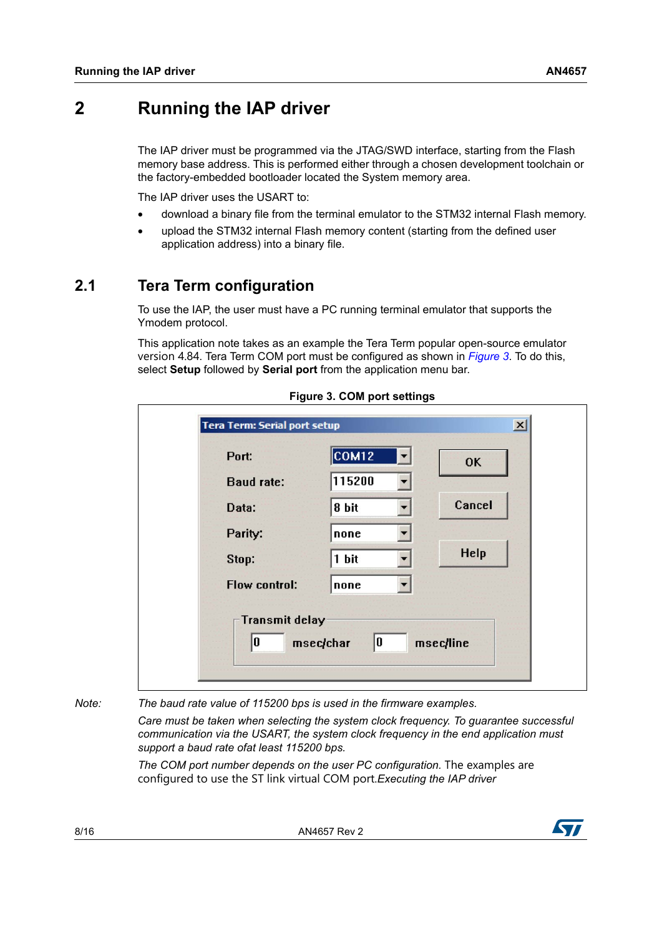## <span id="page-7-0"></span>**2 Running the IAP driver**

The IAP driver must be programmed via the JTAG/SWD interface, starting from the Flash memory base address. This is performed either through a chosen development toolchain or the factory-embedded bootloader located the System memory area.

The IAP driver uses the USART to:

- download a binary file from the terminal emulator to the STM32 internal Flash memory.
- upload the STM32 internal Flash memory content (starting from the defined user application address) into a binary file.

## <span id="page-7-1"></span>**2.1 Tera Term configuration**

To use the IAP, the user must have a PC running terminal emulator that supports the Ymodem protocol.

This application note takes as an example the Tera Term popular open-source emulator version 4.84. Tera Term COM port must be configured as shown in *[Figure](#page-7-2) 3*. To do this, select **Setup** followed by **Serial port** from the application menu bar.

<span id="page-7-2"></span>

| Port:                | COM12<br>▼ | <b>OK</b> |
|----------------------|------------|-----------|
| <b>Baud rate:</b>    | 115200     |           |
| Data:                | 8 bit      | Cancel    |
| Parity:              | none<br>۳  |           |
| Stop:                | 1 bit<br>٠ | Help      |
| <b>Flow control:</b> | none<br>▼  |           |

#### **Figure 3. COM port settings**

*Note: The baud rate value of 115200 bps is used in the firmware examples.* 

*Care must be taken when selecting the system clock frequency. To guarantee successful communication via the USART, the system clock frequency in the end application must support a baud rate ofat least 115200 bps.*

The COM port number depends on the user PC configuration. The examples are configured to use the ST link virtual COM port.*Executing the IAP driver*

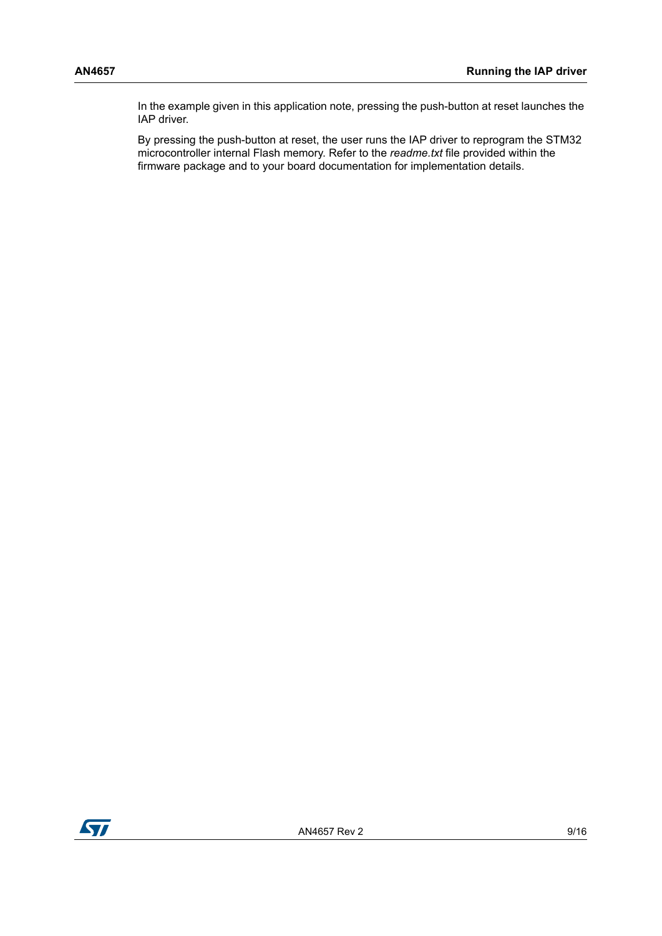In the example given in this application note, pressing the push-button at reset launches the IAP driver.

By pressing the push-button at reset, the user runs the IAP driver to reprogram the STM32 microcontroller internal Flash memory. Refer to the *readme.txt* file provided within the firmware package and to your board documentation for implementation details.

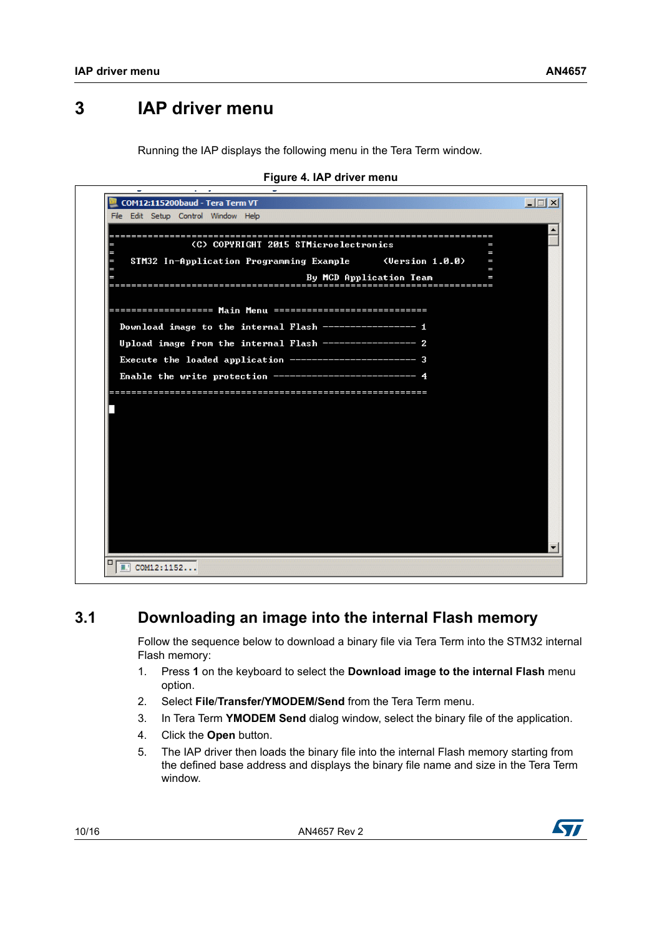## <span id="page-9-0"></span>**3 IAP driver menu**

Running the IAP displays the following menu in the Tera Term window.

<span id="page-9-2"></span>

| COM12:115200baud - Tera Term VT<br>File Edit Setup Control Window Help | $ \Box$ $\times$ |
|------------------------------------------------------------------------|------------------|
|                                                                        |                  |
| (C) COPYRIGHT 2015 STMicroelectronics<br>I                             |                  |
| I<br>STM32 In-Application Programming Example<br>(Version 1.0.0)<br>I  |                  |
| I<br>By MCD Application Team<br>I                                      |                  |
| <u>===================</u>                                             |                  |
|                                                                        |                  |
|                                                                        |                  |
| Download image to the internal Flash ----------------- 1               |                  |
| Upload image from the internal Flash ----------------- 2               |                  |
| Execute the loaded application ----------------------- 3               |                  |
| Enable the write protection -------------------------- 4               |                  |
|                                                                        |                  |
|                                                                        |                  |
|                                                                        |                  |
|                                                                        |                  |
|                                                                        |                  |
|                                                                        |                  |
|                                                                        |                  |
|                                                                        |                  |
|                                                                        |                  |
|                                                                        |                  |
|                                                                        |                  |
|                                                                        |                  |

**Figure 4. IAP driver menu**

## <span id="page-9-1"></span>**3.1 Downloading an image into the internal Flash memory**

Follow the sequence below to download a binary file via Tera Term into the STM32 internal Flash memory:

- 1. Press **1** on the keyboard to select the **Download image to the internal Flash** menu option.
- 2. Select **File**/**Transfer/YMODEM/Send** from the Tera Term menu.
- 3. In Tera Term **YMODEM Send** dialog window, select the binary file of the application.
- 4. Click the **Open** button.
- 5. The IAP driver then loads the binary file into the internal Flash memory starting from the defined base address and displays the binary file name and size in the Tera Term window.

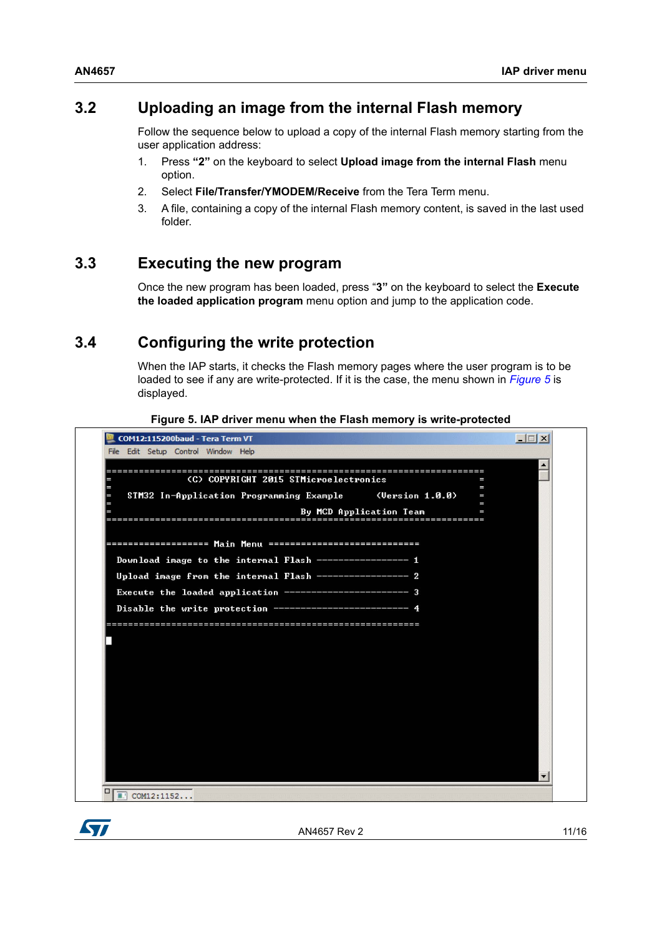### <span id="page-10-0"></span>**3.2 Uploading an image from the internal Flash memory**

Follow the sequence below to upload a copy of the internal Flash memory starting from the user application address:

- 1. Press **"2"** on the keyboard to select **Upload image from the internal Flash** menu option.
- 2. Select **File/Transfer/YMODEM/Receive** from the Tera Term menu.
- 3. A file, containing a copy of the internal Flash memory content, is saved in the last used folder.

#### <span id="page-10-1"></span>**3.3 Executing the new program**

Once the new program has been loaded, press "**3"** on the keyboard to select the **Execute the loaded application program** menu option and jump to the application code.

### <span id="page-10-2"></span>**3.4 Configuring the write protection**

When the IAP starts, it checks the Flash memory pages where the user program is to be loaded to see if any are write-protected. If it is the case, the menu shown in *[Figure](#page-10-3) 5* is displayed.

<span id="page-10-3"></span>

| COM12:115200baud - Tera Term VT                           |                         |        | $ \Box$ $\times$ |
|-----------------------------------------------------------|-------------------------|--------|------------------|
| File Edit Setup Control Window Help                       |                         |        |                  |
|                                                           |                         |        |                  |
| (C) COPYRIGHT 2015 STMicroelectronics<br>Е                |                         | I<br>I |                  |
| STM32 In-Application Programming Example<br>╒             | (Version 1.0.0)         | Ι<br>I |                  |
|                                                           | By MCD Application Team | I      |                  |
|                                                           |                         |        |                  |
|                                                           |                         |        |                  |
| Download image to the internal Flash ----------------- 1  |                         |        |                  |
|                                                           |                         |        |                  |
| Upload image from the internal Flash ----------------- 2  |                         |        |                  |
| Execute the loaded application ------------------------ 3 |                         |        |                  |
| Disable the write protection ---------                    |                         |        |                  |
|                                                           |                         |        |                  |
|                                                           |                         |        |                  |
|                                                           |                         |        |                  |
|                                                           |                         |        |                  |
|                                                           |                         |        |                  |
|                                                           |                         |        |                  |
|                                                           |                         |        |                  |
|                                                           |                         |        |                  |
|                                                           |                         |        |                  |
|                                                           |                         |        |                  |
|                                                           |                         |        |                  |
|                                                           |                         |        |                  |
|                                                           |                         |        |                  |
| □<br>■ COM12:1152                                         |                         |        |                  |

**Figure 5. IAP driver menu when the Flash memory is write-protected** 

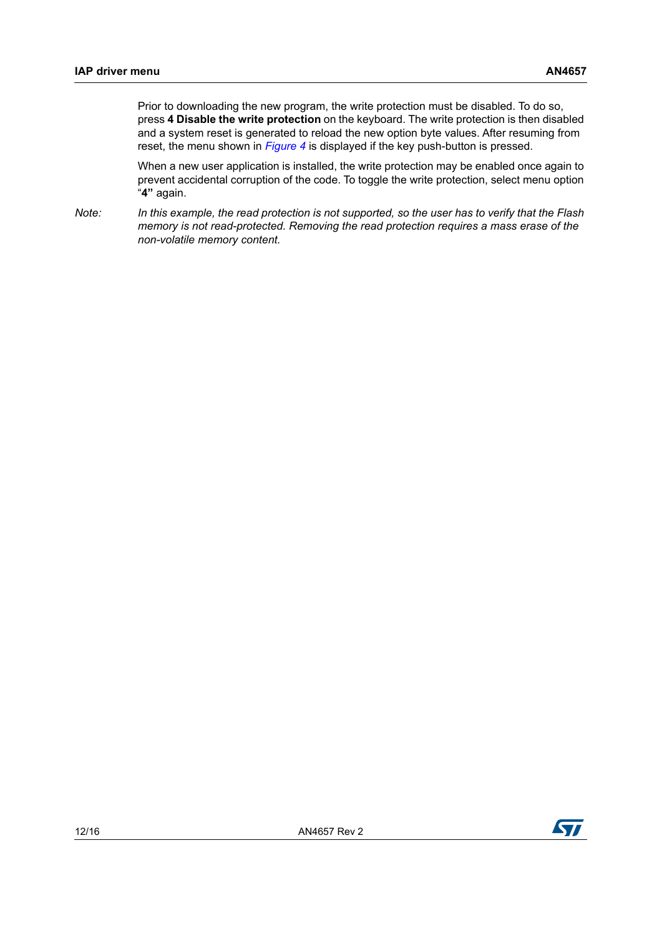Prior to downloading the new program, the write protection must be disabled. To do so, press **4 Disable the write protection** on the keyboard. The write protection is then disabled and a system reset is generated to reload the new option byte values. After resuming from reset, the menu shown in *[Figure](#page-9-2) 4* is displayed if the key push-button is pressed.

When a new user application is installed, the write protection may be enabled once again to prevent accidental corruption of the code. To toggle the write protection, select menu option "**4"** again.

*Note: In this example, the read protection is not supported, so the user has to verify that the Flash memory is not read-protected. Removing the read protection requires a mass erase of the non-volatile memory content.*

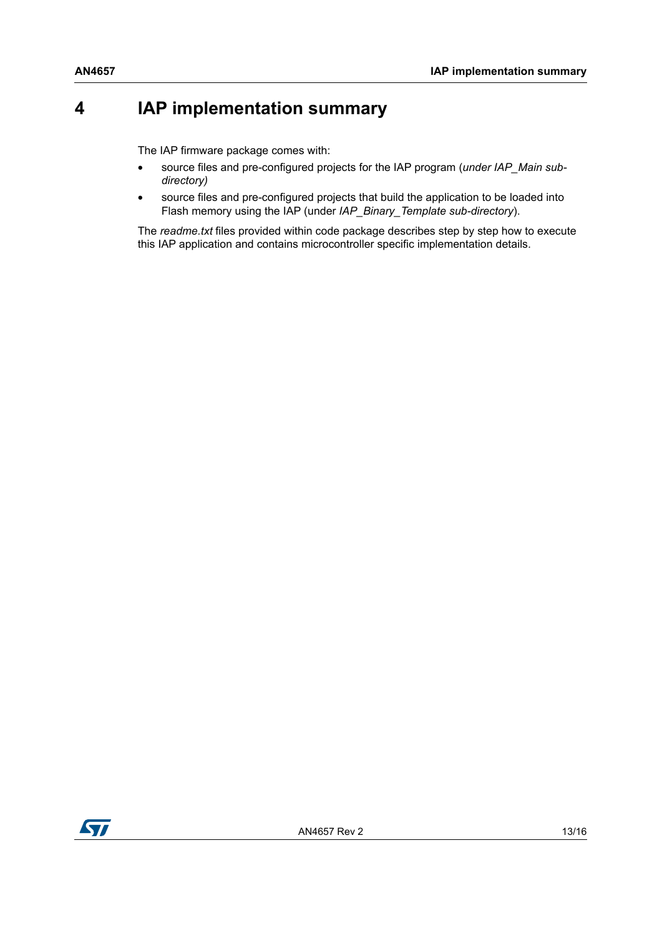## <span id="page-12-0"></span>**4 IAP implementation summary**

The IAP firmware package comes with:

- source files and pre-configured projects for the IAP program (*under IAP\_Main subdirectory)*
- source files and pre-configured projects that build the application to be loaded into Flash memory using the IAP (under *IAP\_Binary\_Template sub-directory*).

The *readme.txt* files provided within code package describes step by step how to execute this IAP application and contains microcontroller specific implementation details.

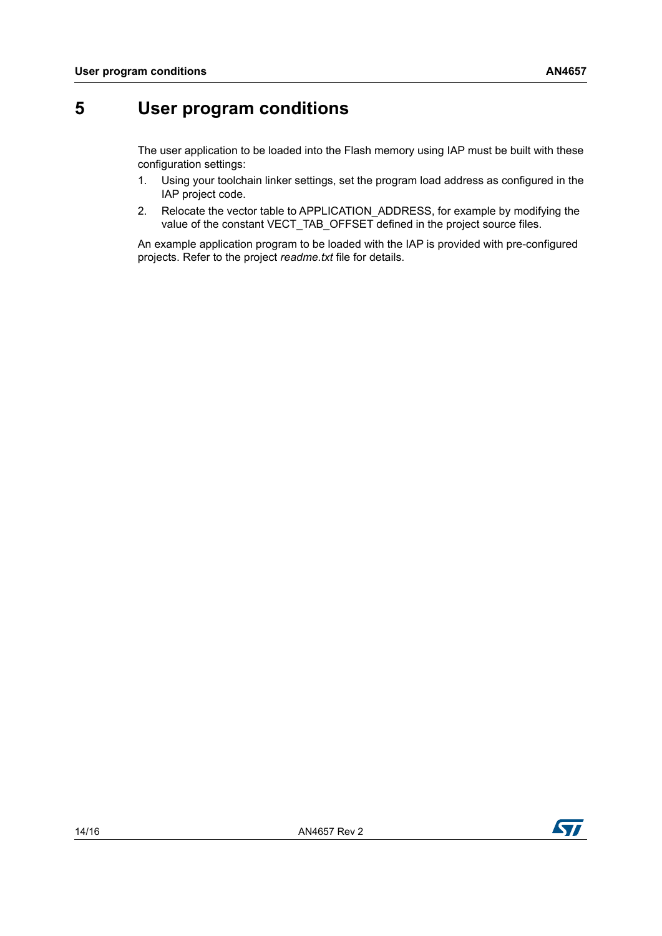## <span id="page-13-0"></span>**5 User program conditions**

The user application to be loaded into the Flash memory using IAP must be built with these configuration settings:

- 1. Using your toolchain linker settings, set the program load address as configured in the IAP project code.
- 2. Relocate the vector table to APPLICATION\_ADDRESS, for example by modifying the value of the constant VECT\_TAB\_OFFSET defined in the project source files.

An example application program to be loaded with the IAP is provided with pre-configured projects. Refer to the project *readme.txt* file for details.



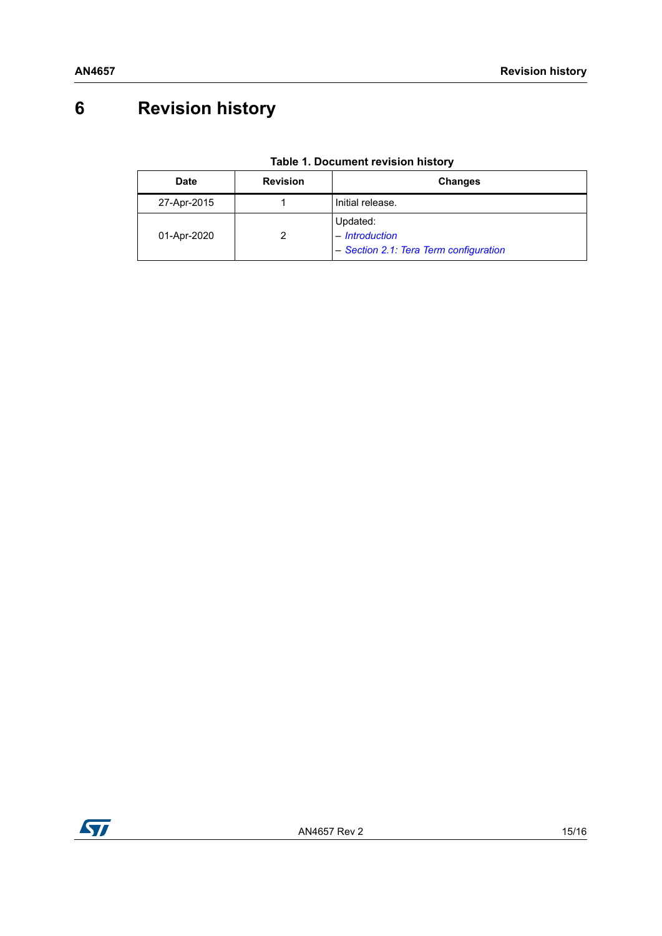# <span id="page-14-0"></span>**6 Revision history**

<span id="page-14-1"></span>

| Date        | <b>Revision</b> | <b>Changes</b>                                                       |  |
|-------------|-----------------|----------------------------------------------------------------------|--|
| 27-Apr-2015 |                 | Initial release.                                                     |  |
| 01-Apr-2020 |                 | Updated:<br>- Introduction<br>- Section 2.1: Tera Term configuration |  |

#### **Table 1. Document revision history**